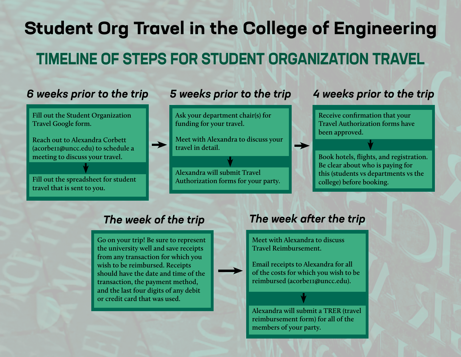# **Student Org Travel in the College of Engineering TIMELINE OF STEPS FOR STUDENT ORGANIZATION TRAVEL**

**Fill out the Student Organization Travel Google form.** 

**Reach out to Alexandra Corbett (acorbe11@uncc.edu) to schedule a meeting to discuss your travel.** 

**Fill out the spreadsheet for student travel that is sent to you.** 

### *6 weeks prior to the trip 5 weeks prior to the trip 4 weeks prior to the trip*

**Ask your department chair(s) for funding for your travel.** 

**Meet with Alexandra to discuss your travel in detail.** 

**Alexandra will submit Travel Authorization forms for your party.** 

**Receive confirmation that your Travel Authorization forms have been approved.** 

**Book hotels, flights, and registration. Be clear about who is paying for this (students vs departments vs the college) before booking.** 

**Go on your trip! Be sure to represent the university well and save receipts from any transaction for which you wish to be reimbursed. Receipts should have the date and time of the transaction, the payment method, and the last four digits of any debit or credit card that was used.** 

### *The week of the trip The week after the trip*

**Meet with Alexandra to discuss Travel Reimbursement.** 

→

**Email receipts to Alexandra for all of the costs for which you wish to be reimbursed (acorbe11@uncc.edu).** 

**Alexandra will submit a TRER (travel reimbursement form) for all of the members of your party.**